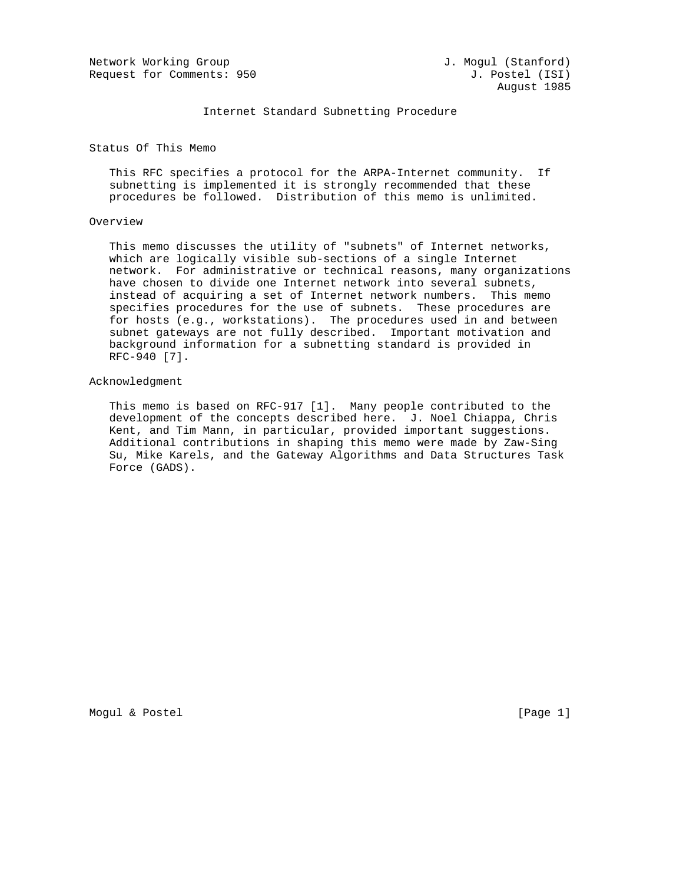Network Working Group and Months and J. Mogul (Stanford) Request for Comments: 950 J. Postel (ISI)

Internet Standard Subnetting Procedure

Status Of This Memo

 This RFC specifies a protocol for the ARPA-Internet community. If subnetting is implemented it is strongly recommended that these procedures be followed. Distribution of this memo is unlimited.

### Overview

 This memo discusses the utility of "subnets" of Internet networks, which are logically visible sub-sections of a single Internet network. For administrative or technical reasons, many organizations have chosen to divide one Internet network into several subnets, instead of acquiring a set of Internet network numbers. This memo specifies procedures for the use of subnets. These procedures are for hosts (e.g., workstations). The procedures used in and between subnet gateways are not fully described. Important motivation and background information for a subnetting standard is provided in RFC-940 [7].

#### Acknowledgment

 This memo is based on RFC-917 [1]. Many people contributed to the development of the concepts described here. J. Noel Chiappa, Chris Kent, and Tim Mann, in particular, provided important suggestions. Additional contributions in shaping this memo were made by Zaw-Sing Su, Mike Karels, and the Gateway Algorithms and Data Structures Task Force (GADS).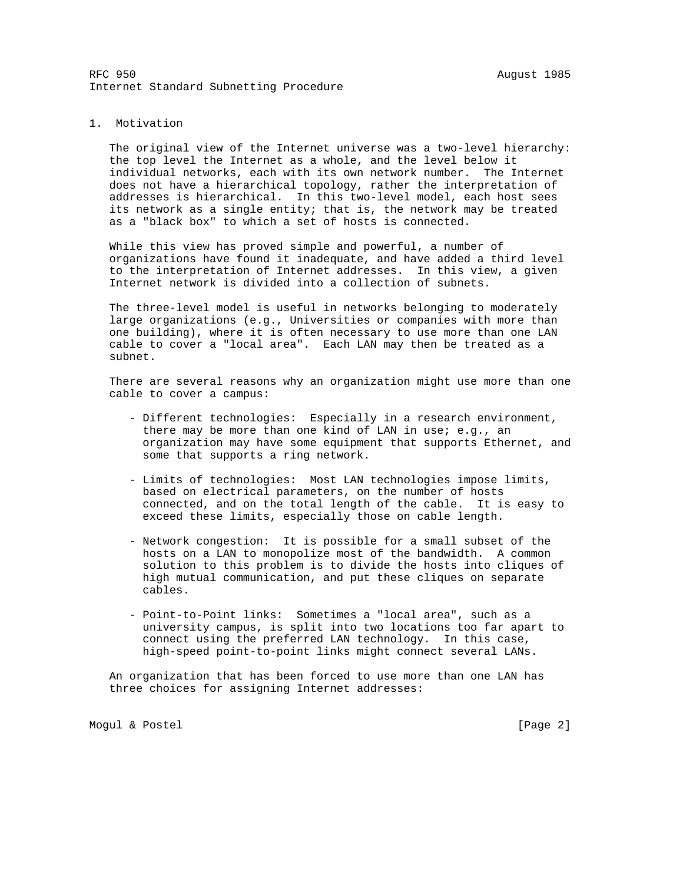### 1. Motivation

 The original view of the Internet universe was a two-level hierarchy: the top level the Internet as a whole, and the level below it individual networks, each with its own network number. The Internet does not have a hierarchical topology, rather the interpretation of addresses is hierarchical. In this two-level model, each host sees its network as a single entity; that is, the network may be treated as a "black box" to which a set of hosts is connected.

 While this view has proved simple and powerful, a number of organizations have found it inadequate, and have added a third level to the interpretation of Internet addresses. In this view, a given Internet network is divided into a collection of subnets.

 The three-level model is useful in networks belonging to moderately large organizations (e.g., Universities or companies with more than one building), where it is often necessary to use more than one LAN cable to cover a "local area". Each LAN may then be treated as a subnet.

 There are several reasons why an organization might use more than one cable to cover a campus:

- Different technologies: Especially in a research environment, there may be more than one kind of LAN in use; e.g., an organization may have some equipment that supports Ethernet, and some that supports a ring network.
- Limits of technologies: Most LAN technologies impose limits, based on electrical parameters, on the number of hosts connected, and on the total length of the cable. It is easy to exceed these limits, especially those on cable length.
- Network congestion: It is possible for a small subset of the hosts on a LAN to monopolize most of the bandwidth. A common solution to this problem is to divide the hosts into cliques of high mutual communication, and put these cliques on separate cables.
- Point-to-Point links: Sometimes a "local area", such as a university campus, is split into two locations too far apart to connect using the preferred LAN technology. In this case, high-speed point-to-point links might connect several LANs.

 An organization that has been forced to use more than one LAN has three choices for assigning Internet addresses:

Mogul & Postel [Page 2]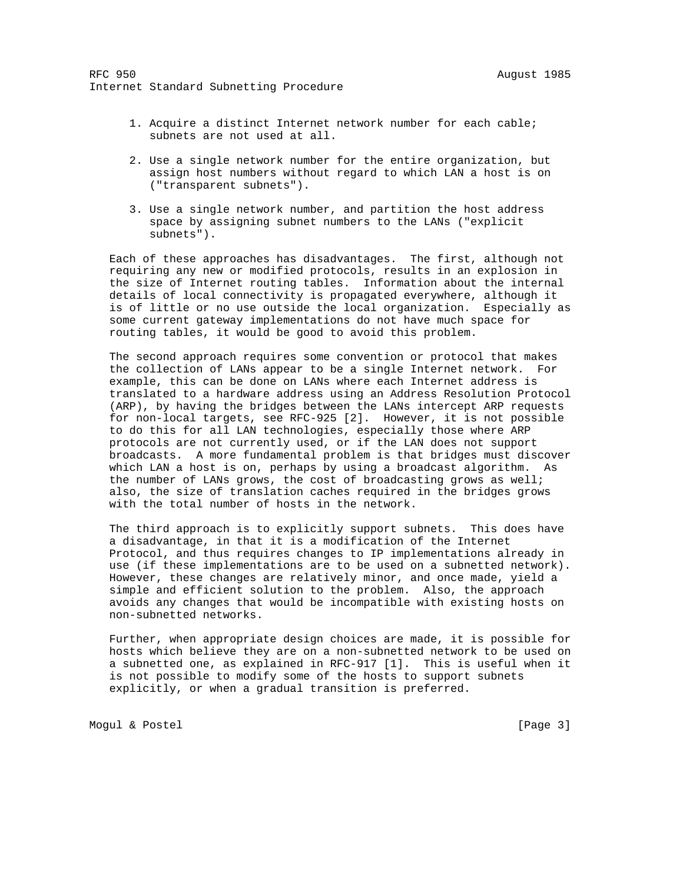- 1. Acquire a distinct Internet network number for each cable; subnets are not used at all.
- 2. Use a single network number for the entire organization, but assign host numbers without regard to which LAN a host is on ("transparent subnets").
- 3. Use a single network number, and partition the host address space by assigning subnet numbers to the LANs ("explicit subnets").

 Each of these approaches has disadvantages. The first, although not requiring any new or modified protocols, results in an explosion in the size of Internet routing tables. Information about the internal details of local connectivity is propagated everywhere, although it is of little or no use outside the local organization. Especially as some current gateway implementations do not have much space for routing tables, it would be good to avoid this problem.

 The second approach requires some convention or protocol that makes the collection of LANs appear to be a single Internet network. For example, this can be done on LANs where each Internet address is translated to a hardware address using an Address Resolution Protocol (ARP), by having the bridges between the LANs intercept ARP requests for non-local targets, see RFC-925 [2]. However, it is not possible to do this for all LAN technologies, especially those where ARP protocols are not currently used, or if the LAN does not support broadcasts. A more fundamental problem is that bridges must discover which LAN a host is on, perhaps by using a broadcast algorithm. As the number of LANs grows, the cost of broadcasting grows as well; also, the size of translation caches required in the bridges grows with the total number of hosts in the network.

 The third approach is to explicitly support subnets. This does have a disadvantage, in that it is a modification of the Internet Protocol, and thus requires changes to IP implementations already in use (if these implementations are to be used on a subnetted network). However, these changes are relatively minor, and once made, yield a simple and efficient solution to the problem. Also, the approach avoids any changes that would be incompatible with existing hosts on non-subnetted networks.

 Further, when appropriate design choices are made, it is possible for hosts which believe they are on a non-subnetted network to be used on a subnetted one, as explained in RFC-917 [1]. This is useful when it is not possible to modify some of the hosts to support subnets explicitly, or when a gradual transition is preferred.

Mogul & Postel (Page 3)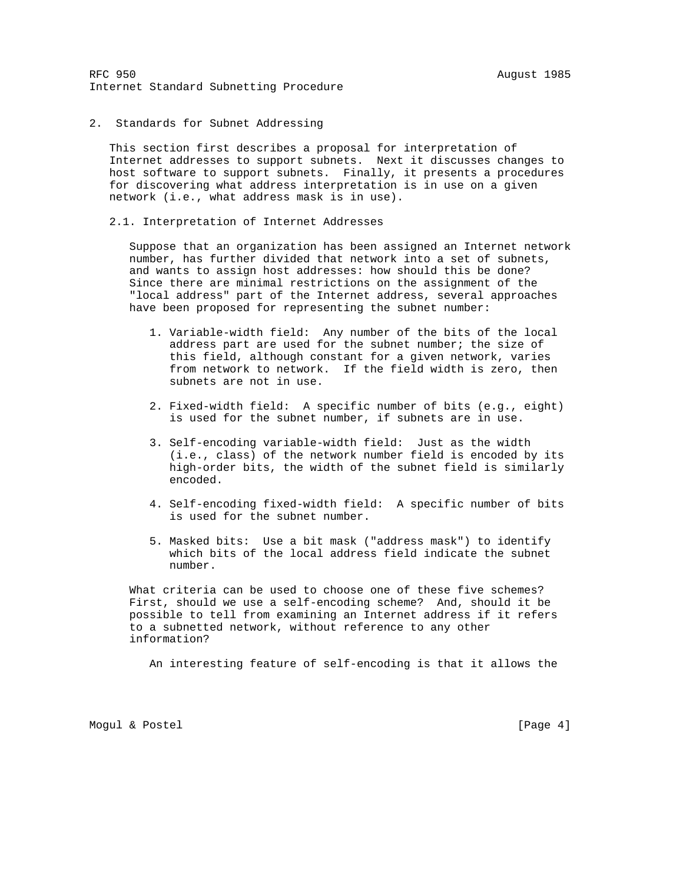2. Standards for Subnet Addressing

 This section first describes a proposal for interpretation of Internet addresses to support subnets. Next it discusses changes to host software to support subnets. Finally, it presents a procedures for discovering what address interpretation is in use on a given network (i.e., what address mask is in use).

2.1. Interpretation of Internet Addresses

 Suppose that an organization has been assigned an Internet network number, has further divided that network into a set of subnets, and wants to assign host addresses: how should this be done? Since there are minimal restrictions on the assignment of the "local address" part of the Internet address, several approaches have been proposed for representing the subnet number:

- 1. Variable-width field: Any number of the bits of the local address part are used for the subnet number; the size of this field, although constant for a given network, varies from network to network. If the field width is zero, then subnets are not in use.
- 2. Fixed-width field: A specific number of bits (e.g., eight) is used for the subnet number, if subnets are in use.
- 3. Self-encoding variable-width field: Just as the width (i.e., class) of the network number field is encoded by its high-order bits, the width of the subnet field is similarly encoded.
- 4. Self-encoding fixed-width field: A specific number of bits is used for the subnet number.
- 5. Masked bits: Use a bit mask ("address mask") to identify which bits of the local address field indicate the subnet number.

 What criteria can be used to choose one of these five schemes? First, should we use a self-encoding scheme? And, should it be possible to tell from examining an Internet address if it refers to a subnetted network, without reference to any other information?

An interesting feature of self-encoding is that it allows the

Mogul & Postel [Page 4]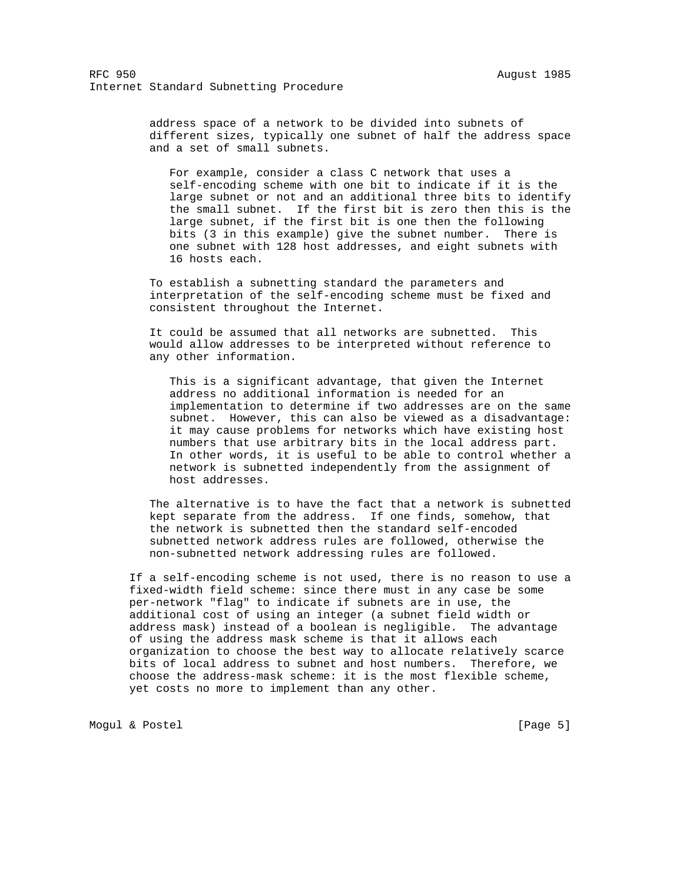address space of a network to be divided into subnets of different sizes, typically one subnet of half the address space and a set of small subnets.

 For example, consider a class C network that uses a self-encoding scheme with one bit to indicate if it is the large subnet or not and an additional three bits to identify the small subnet. If the first bit is zero then this is the large subnet, if the first bit is one then the following bits (3 in this example) give the subnet number. There is one subnet with 128 host addresses, and eight subnets with 16 hosts each.

 To establish a subnetting standard the parameters and interpretation of the self-encoding scheme must be fixed and consistent throughout the Internet.

 It could be assumed that all networks are subnetted. This would allow addresses to be interpreted without reference to any other information.

 This is a significant advantage, that given the Internet address no additional information is needed for an implementation to determine if two addresses are on the same subnet. However, this can also be viewed as a disadvantage: it may cause problems for networks which have existing host numbers that use arbitrary bits in the local address part. In other words, it is useful to be able to control whether a network is subnetted independently from the assignment of host addresses.

 The alternative is to have the fact that a network is subnetted kept separate from the address. If one finds, somehow, that the network is subnetted then the standard self-encoded subnetted network address rules are followed, otherwise the non-subnetted network addressing rules are followed.

 If a self-encoding scheme is not used, there is no reason to use a fixed-width field scheme: since there must in any case be some per-network "flag" to indicate if subnets are in use, the additional cost of using an integer (a subnet field width or address mask) instead of a boolean is negligible. The advantage of using the address mask scheme is that it allows each organization to choose the best way to allocate relatively scarce bits of local address to subnet and host numbers. Therefore, we choose the address-mask scheme: it is the most flexible scheme, yet costs no more to implement than any other.

Mogul & Postel (Page 5)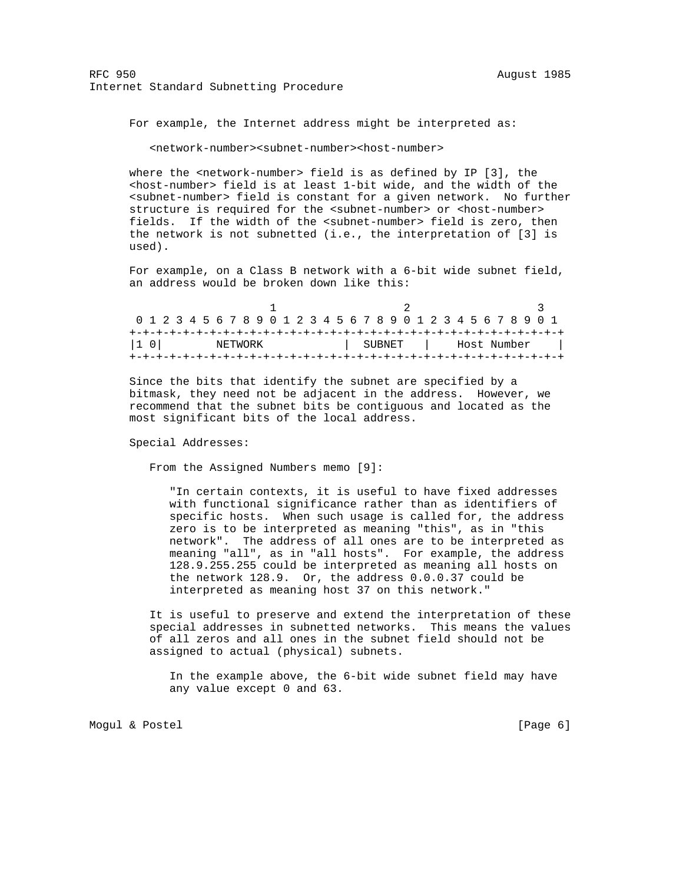For example, the Internet address might be interpreted as:

<network-number><subnet-number><host-number>

where the  $\epsilon$ network-number> field is as defined by IP [3], the <host-number> field is at least 1-bit wide, and the width of the <subnet-number> field is constant for a given network. No further structure is required for the <subnet-number> or <host-number> fields. If the width of the <subnet-number> field is zero, then the network is not subnetted (i.e., the interpretation of [3] is used).

 For example, on a Class B network with a 6-bit wide subnet field, an address would be broken down like this:

| 0 1 2 3 4 5 6 7 8 9 0 1 2 3 4 5 6 7 8 9 0 1 2 3 4 5 6 7 8 9 0 1 |  |  |  |         |  |  |  |  |  |        |  |  |             |  |  |  |  |
|-----------------------------------------------------------------|--|--|--|---------|--|--|--|--|--|--------|--|--|-------------|--|--|--|--|
|                                                                 |  |  |  |         |  |  |  |  |  |        |  |  |             |  |  |  |  |
| $ 1 \ 0 $                                                       |  |  |  | NETWORK |  |  |  |  |  | SUBNET |  |  | Host Number |  |  |  |  |
|                                                                 |  |  |  |         |  |  |  |  |  |        |  |  |             |  |  |  |  |

 Since the bits that identify the subnet are specified by a bitmask, they need not be adjacent in the address. However, we recommend that the subnet bits be contiguous and located as the most significant bits of the local address.

Special Addresses:

From the Assigned Numbers memo [9]:

 "In certain contexts, it is useful to have fixed addresses with functional significance rather than as identifiers of specific hosts. When such usage is called for, the address zero is to be interpreted as meaning "this", as in "this network". The address of all ones are to be interpreted as meaning "all", as in "all hosts". For example, the address 128.9.255.255 could be interpreted as meaning all hosts on the network 128.9. Or, the address 0.0.0.37 could be interpreted as meaning host 37 on this network."

 It is useful to preserve and extend the interpretation of these special addresses in subnetted networks. This means the values of all zeros and all ones in the subnet field should not be assigned to actual (physical) subnets.

 In the example above, the 6-bit wide subnet field may have any value except 0 and 63.

Mogul & Postel (Page 6)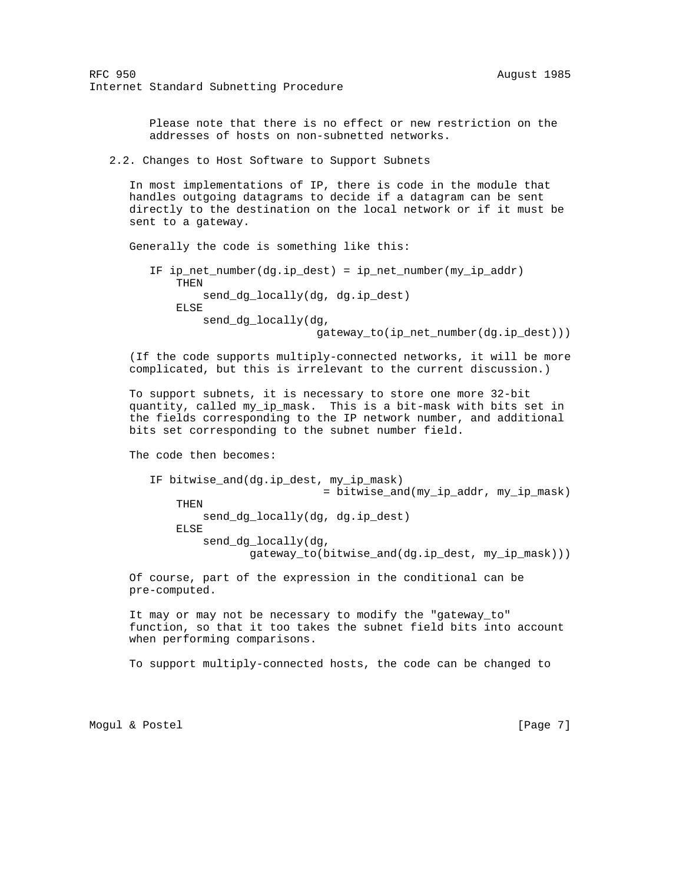> Please note that there is no effect or new restriction on the addresses of hosts on non-subnetted networks.

2.2. Changes to Host Software to Support Subnets

 In most implementations of IP, there is code in the module that handles outgoing datagrams to decide if a datagram can be sent directly to the destination on the local network or if it must be sent to a gateway.

Generally the code is something like this:

 IF ip\_net\_number(dg.ip\_dest) = ip\_net\_number(my\_ip\_addr) THEN send\_dg\_locally(dg, dg.ip\_dest) ELSE send\_dg\_locally(dg, gateway\_to(ip\_net\_number(dg.ip\_dest)))

 (If the code supports multiply-connected networks, it will be more complicated, but this is irrelevant to the current discussion.)

 To support subnets, it is necessary to store one more 32-bit quantity, called my\_ip\_mask. This is a bit-mask with bits set in the fields corresponding to the IP network number, and additional bits set corresponding to the subnet number field.

The code then becomes:

 IF bitwise\_and(dg.ip\_dest, my\_ip\_mask) = bitwise\_and(my\_ip\_addr, my\_ip\_mask) THEN send\_dg\_locally(dg, dg.ip\_dest) ELSE send\_dg\_locally(dg, gateway\_to(bitwise\_and(dg.ip\_dest, my\_ip\_mask)))

 Of course, part of the expression in the conditional can be pre-computed.

 It may or may not be necessary to modify the "gateway\_to" function, so that it too takes the subnet field bits into account when performing comparisons.

To support multiply-connected hosts, the code can be changed to

Mogul & Postel (Page 7)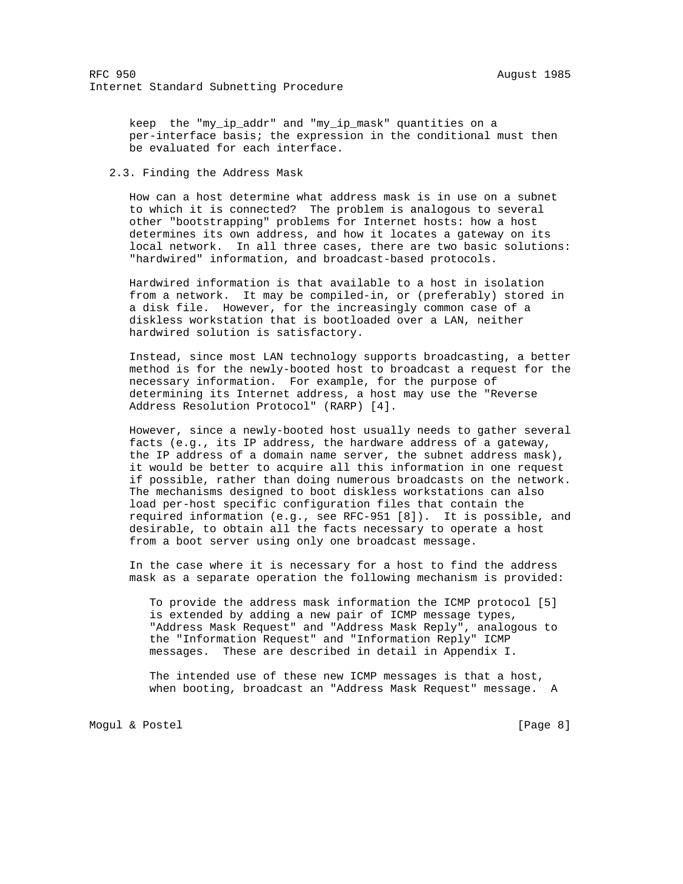keep the "my\_ip\_addr" and "my\_ip\_mask" quantities on a per-interface basis; the expression in the conditional must then be evaluated for each interface.

2.3. Finding the Address Mask

 How can a host determine what address mask is in use on a subnet to which it is connected? The problem is analogous to several other "bootstrapping" problems for Internet hosts: how a host determines its own address, and how it locates a gateway on its local network. In all three cases, there are two basic solutions: "hardwired" information, and broadcast-based protocols.

 Hardwired information is that available to a host in isolation from a network. It may be compiled-in, or (preferably) stored in a disk file. However, for the increasingly common case of a diskless workstation that is bootloaded over a LAN, neither hardwired solution is satisfactory.

 Instead, since most LAN technology supports broadcasting, a better method is for the newly-booted host to broadcast a request for the necessary information. For example, for the purpose of determining its Internet address, a host may use the "Reverse Address Resolution Protocol" (RARP) [4].

 However, since a newly-booted host usually needs to gather several facts (e.g., its IP address, the hardware address of a gateway, the IP address of a domain name server, the subnet address mask), it would be better to acquire all this information in one request if possible, rather than doing numerous broadcasts on the network. The mechanisms designed to boot diskless workstations can also load per-host specific configuration files that contain the required information (e.g., see RFC-951 [8]). It is possible, and desirable, to obtain all the facts necessary to operate a host from a boot server using only one broadcast message.

 In the case where it is necessary for a host to find the address mask as a separate operation the following mechanism is provided:

 To provide the address mask information the ICMP protocol [5] is extended by adding a new pair of ICMP message types, "Address Mask Request" and "Address Mask Reply", analogous to the "Information Request" and "Information Reply" ICMP messages. These are described in detail in Appendix I.

 The intended use of these new ICMP messages is that a host, when booting, broadcast an "Address Mask Request" message. A

Mogul & Postel (Page 8)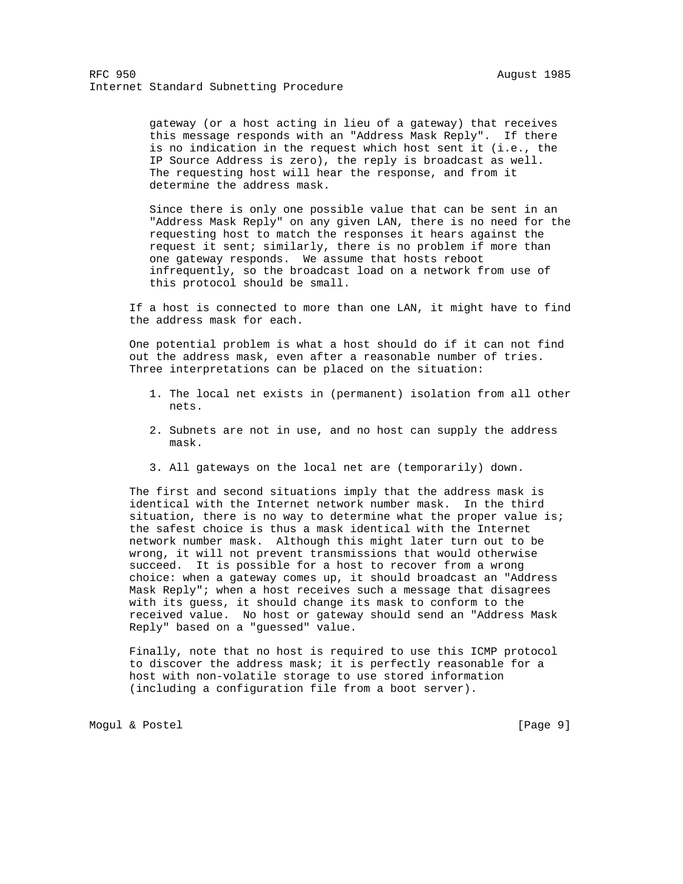gateway (or a host acting in lieu of a gateway) that receives this message responds with an "Address Mask Reply". If there is no indication in the request which host sent it (i.e., the IP Source Address is zero), the reply is broadcast as well. The requesting host will hear the response, and from it determine the address mask.

 Since there is only one possible value that can be sent in an "Address Mask Reply" on any given LAN, there is no need for the requesting host to match the responses it hears against the request it sent; similarly, there is no problem if more than one gateway responds. We assume that hosts reboot infrequently, so the broadcast load on a network from use of this protocol should be small.

 If a host is connected to more than one LAN, it might have to find the address mask for each.

 One potential problem is what a host should do if it can not find out the address mask, even after a reasonable number of tries. Three interpretations can be placed on the situation:

- 1. The local net exists in (permanent) isolation from all other nets.
- 2. Subnets are not in use, and no host can supply the address mask.
- 3. All gateways on the local net are (temporarily) down.

 The first and second situations imply that the address mask is identical with the Internet network number mask. In the third situation, there is no way to determine what the proper value is; the safest choice is thus a mask identical with the Internet network number mask. Although this might later turn out to be wrong, it will not prevent transmissions that would otherwise succeed. It is possible for a host to recover from a wrong choice: when a gateway comes up, it should broadcast an "Address Mask Reply"; when a host receives such a message that disagrees with its guess, it should change its mask to conform to the received value. No host or gateway should send an "Address Mask Reply" based on a "guessed" value.

 Finally, note that no host is required to use this ICMP protocol to discover the address mask; it is perfectly reasonable for a host with non-volatile storage to use stored information (including a configuration file from a boot server).

Mogul & Postel [Page 9]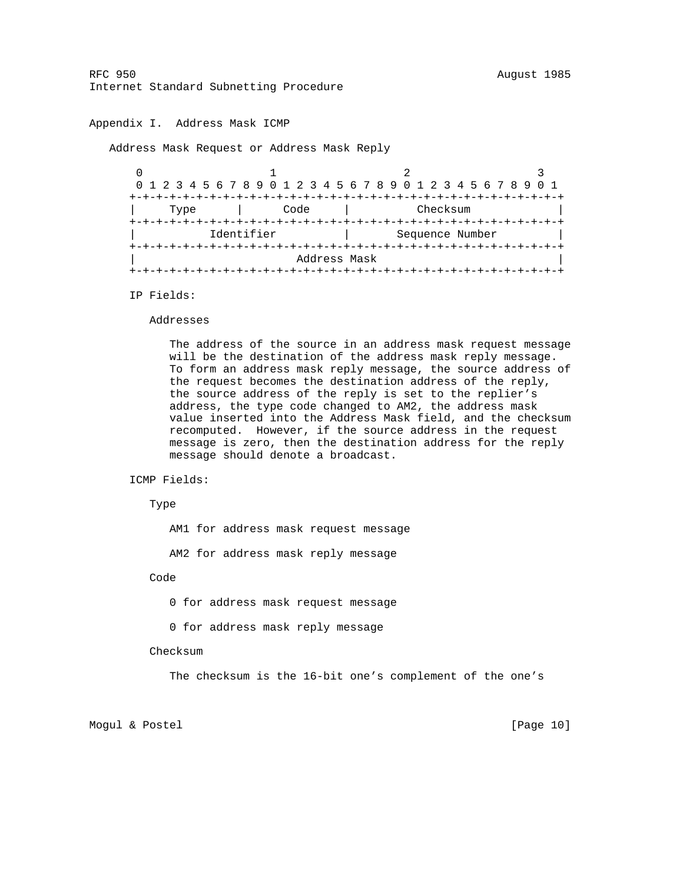# Appendix I. Address Mask ICMP

Address Mask Request or Address Mask Reply

 $0$  1 2 3 0 1 2 3 4 5 6 7 8 9 0 1 2 3 4 5 6 7 8 9 0 1 2 3 4 5 6 7 8 9 0 1 +-+-+-+-+-+-+-+-+-+-+-+-+-+-+-+-+-+-+-+-+-+-+-+-+-+-+-+-+-+-+-+-+ Type | Code | Checksum +-+-+-+-+-+-+-+-+-+-+-+-+-+-+-+-+-+-+-+-+-+-+-+-+-+-+-+-+-+-+-+-+ Identifier | Sequence Number +-+-+-+-+-+-+-+-+-+-+-+-+-+-+-+-+-+-+-+-+-+-+-+-+-+-+-+-+-+-+-+-+ | Address Mask | +-+-+-+-+-+-+-+-+-+-+-+-+-+-+-+-+-+-+-+-+-+-+-+-+-+-+-+-+-+-+-+-+

IP Fields:

#### Addresses

 The address of the source in an address mask request message will be the destination of the address mask reply message. To form an address mask reply message, the source address of the request becomes the destination address of the reply, the source address of the reply is set to the replier's address, the type code changed to AM2, the address mask value inserted into the Address Mask field, and the checksum recomputed. However, if the source address in the request message is zero, then the destination address for the reply message should denote a broadcast.

ICMP Fields:

Type

AM1 for address mask request message

AM2 for address mask reply message

Code

0 for address mask request message

0 for address mask reply message

Checksum

The checksum is the 16-bit one's complement of the one's

Mogul & Postel [Page 10]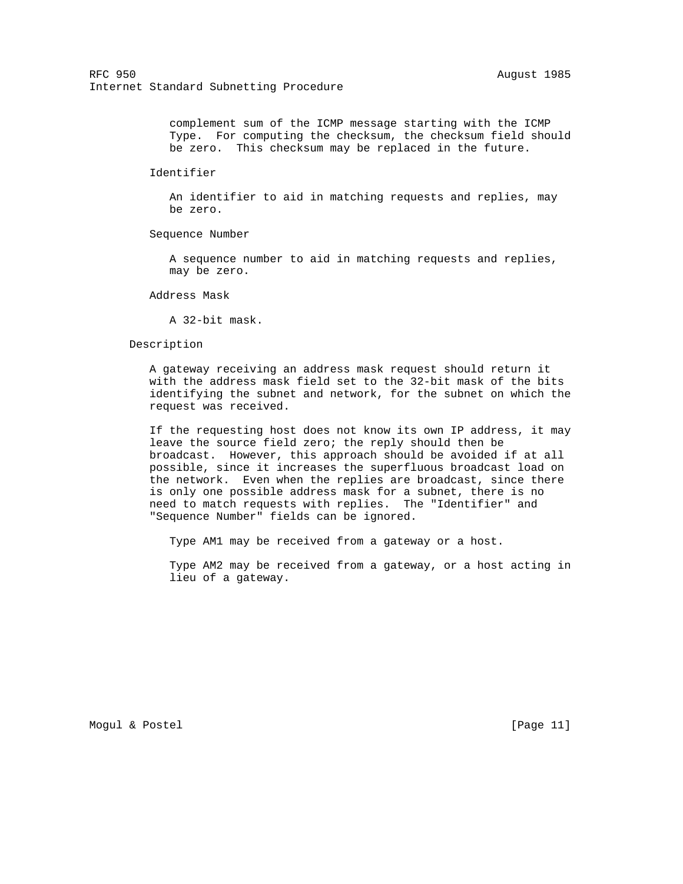complement sum of the ICMP message starting with the ICMP Type. For computing the checksum, the checksum field should be zero. This checksum may be replaced in the future.

Identifier

 An identifier to aid in matching requests and replies, may be zero.

Sequence Number

 A sequence number to aid in matching requests and replies, may be zero.

Address Mask

A 32-bit mask.

#### Description

 A gateway receiving an address mask request should return it with the address mask field set to the 32-bit mask of the bits identifying the subnet and network, for the subnet on which the request was received.

 If the requesting host does not know its own IP address, it may leave the source field zero; the reply should then be broadcast. However, this approach should be avoided if at all possible, since it increases the superfluous broadcast load on the network. Even when the replies are broadcast, since there is only one possible address mask for a subnet, there is no need to match requests with replies. The "Identifier" and "Sequence Number" fields can be ignored.

Type AM1 may be received from a gateway or a host.

 Type AM2 may be received from a gateway, or a host acting in lieu of a gateway.

Mogul & Postel [Page 11]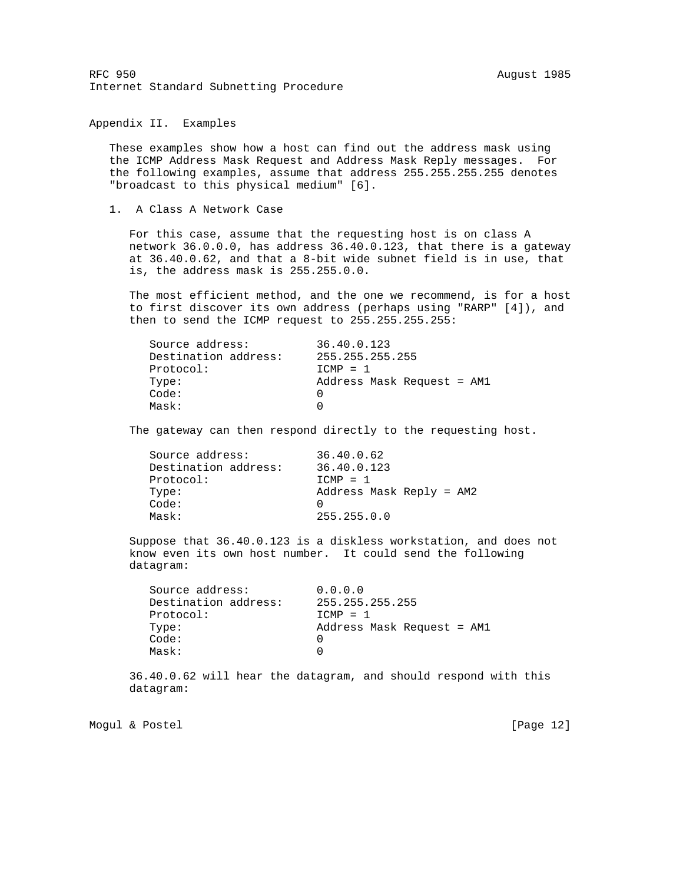Appendix II. Examples

 These examples show how a host can find out the address mask using the ICMP Address Mask Request and Address Mask Reply messages. For the following examples, assume that address 255.255.255.255 denotes "broadcast to this physical medium" [6].

1. A Class A Network Case

 For this case, assume that the requesting host is on class A network 36.0.0.0, has address 36.40.0.123, that there is a gateway at 36.40.0.62, and that a 8-bit wide subnet field is in use, that is, the address mask is 255.255.0.0.

 The most efficient method, and the one we recommend, is for a host to first discover its own address (perhaps using "RARP" [4]), and then to send the ICMP request to 255.255.255.255:

| Source address:      | 36.40.0.123                |
|----------------------|----------------------------|
| Destination address: | 255.255.255.255            |
| Protocol:            | $TCMP = 1$                 |
| Type:                | Address Mask Request = AM1 |
| Code:                |                            |
| Mask:                |                            |
|                      |                            |

The gateway can then respond directly to the requesting host.

| Source address:      | 36.40.0.62               |
|----------------------|--------------------------|
| Destination address: | 36.40.0.123              |
| Protocol:            | $TCMP = 1$               |
| Type:                | Address Mask Reply = AM2 |
| Code:                |                          |
| Mask:                | 255.255.0.0              |
|                      |                          |

 Suppose that 36.40.0.123 is a diskless workstation, and does not know even its own host number. It could send the following datagram:

| Source address:      | 0.0.0.0                    |
|----------------------|----------------------------|
| Destination address: | 255.255.255.255            |
| Protocol:            | $TCMP = 1$                 |
| Type:                | Address Mask Request = AM1 |
| Code:                |                            |
| Mask:                |                            |

 36.40.0.62 will hear the datagram, and should respond with this datagram:

Mogul & Postel [Page 12]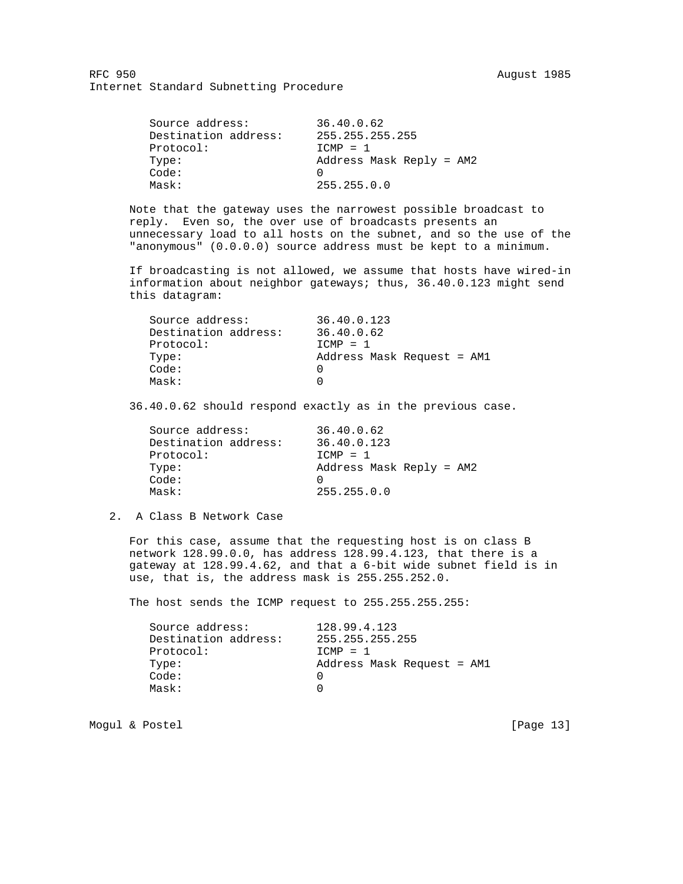| 36.40.0.62               |
|--------------------------|
| 255.255.255.255          |
| $TCMP = 1$               |
| Address Mask Reply = AM2 |
|                          |
| 255.255.0.0              |
|                          |

 Note that the gateway uses the narrowest possible broadcast to reply. Even so, the over use of broadcasts presents an unnecessary load to all hosts on the subnet, and so the use of the "anonymous" (0.0.0.0) source address must be kept to a minimum.

 If broadcasting is not allowed, we assume that hosts have wired-in information about neighbor gateways; thus, 36.40.0.123 might send this datagram:

| Destination address:<br>36.40.0.62<br>Protocol:<br>$TCMP = 1$<br>Type:<br>Code:<br>Mask: | Source address: | 36.40.0.123                |
|------------------------------------------------------------------------------------------|-----------------|----------------------------|
|                                                                                          |                 |                            |
|                                                                                          |                 |                            |
|                                                                                          |                 | Address Mask Request = AM1 |
|                                                                                          |                 |                            |
|                                                                                          |                 |                            |

36.40.0.62 should respond exactly as in the previous case.

| Source address:      | 36.40.0.62               |
|----------------------|--------------------------|
| Destination address: | 36.40.0.123              |
| Protocol:            | $TCMP = 1$               |
| Type:                | Address Mask Reply = AM2 |
| Code:                |                          |
| Mask:                | 255.255.0.0              |

2. A Class B Network Case

 For this case, assume that the requesting host is on class B network 128.99.0.0, has address 128.99.4.123, that there is a gateway at 128.99.4.62, and that a 6-bit wide subnet field is in use, that is, the address mask is 255.255.252.0.

The host sends the ICMP request to 255.255.255.255:

| Destination address:<br>255.255.255.255<br>Protocol:<br>$TCMP = 1$<br>Type:<br>Code:<br>Mask: | Source address: | 128.99.4.123               |
|-----------------------------------------------------------------------------------------------|-----------------|----------------------------|
|                                                                                               |                 |                            |
|                                                                                               |                 |                            |
|                                                                                               |                 | Address Mask Request = AM1 |
|                                                                                               |                 |                            |
|                                                                                               |                 |                            |

Mogul & Postel [Page 13]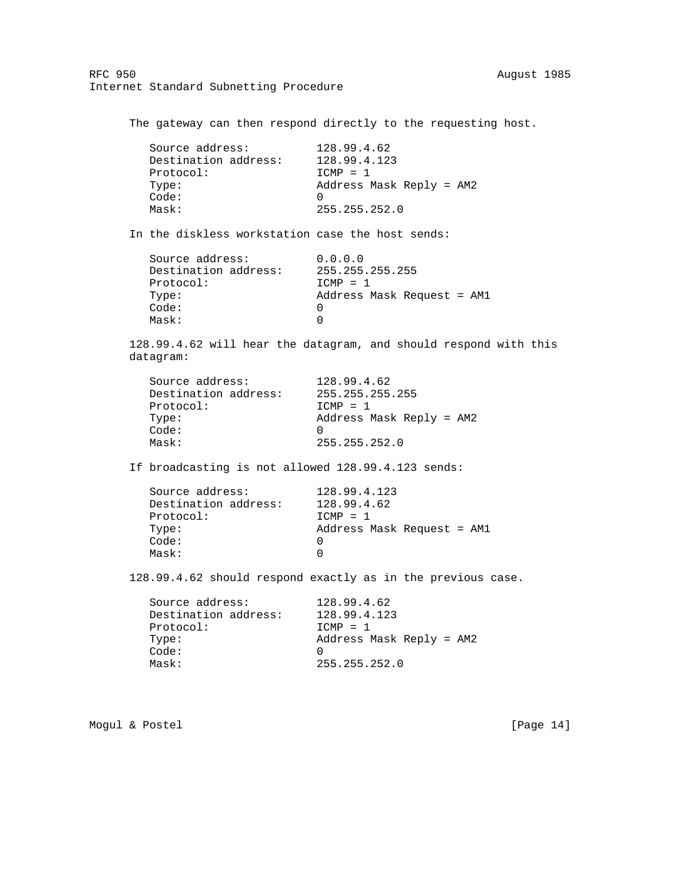The gateway can then respond directly to the requesting host. Source address: 128.99.4.62 Destination address: 128.99.4.123 Protocol: ICMP = 1 Type: Address Mask Reply = AM2 Code: 0 Mask: 255.255.252.0 In the diskless workstation case the host sends: Source address: 0.0.0.0 Destination address: 255.255.255.255 Protocol: ICMP = 1 Type: Address Mask Request = AM1 Code: 0 Mask: 0 128.99.4.62 will hear the datagram, and should respond with this datagram: Source address: 128.99.4.62<br>Destination address: 255.255.255.255 Destination address: Protocol: ICMP = 1 Type: Address Mask Reply = AM2 Code: 0 Mask: 255.255.252.0 If broadcasting is not allowed 128.99.4.123 sends: Source address: 128.99.4.123<br>Destination address: 128.99.4.62 Destination address: Protocol: ICMP = 1 Type: Address Mask Request = AM1 Code: 0 Mask: 0 128.99.4.62 should respond exactly as in the previous case. Source address: 128.99.4.62 Destination address: 128.99.4.123 Protocol: ICMP = 1 Type: Address Mask Reply = AM2

Mogul & Postel [Page 14]

Code: 0

Mask: 255.255.252.0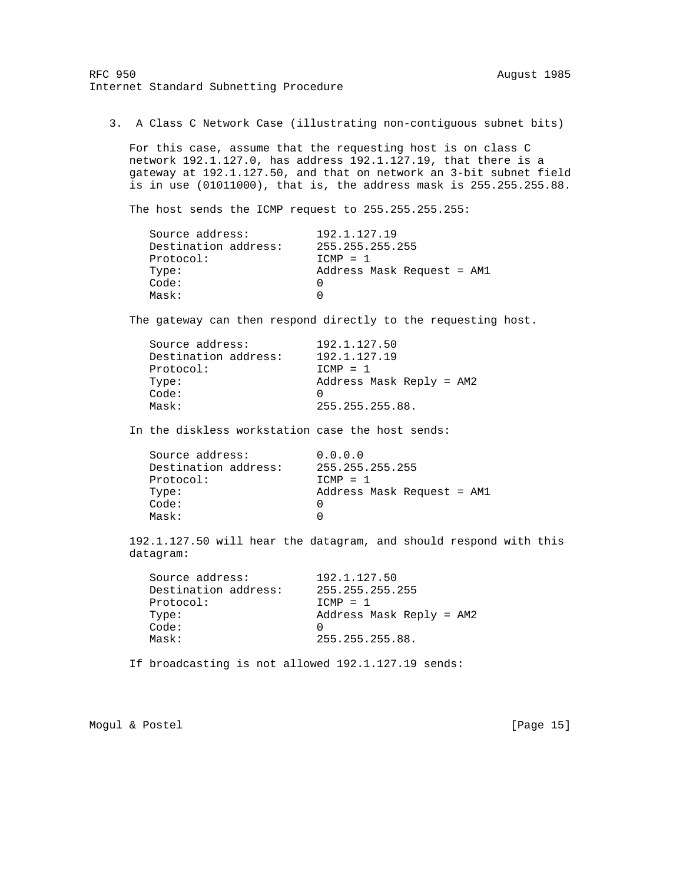3. A Class C Network Case (illustrating non-contiguous subnet bits)

 For this case, assume that the requesting host is on class C network 192.1.127.0, has address 192.1.127.19, that there is a gateway at 192.1.127.50, and that on network an 3-bit subnet field is in use (01011000), that is, the address mask is 255.255.255.88.

The host sends the ICMP request to 255.255.255.255:

| Source address:      | 192.1.127.19               |
|----------------------|----------------------------|
| Destination address: | 255.255.255.255            |
| Protocol:            | $TCMP = 1$                 |
| Type:                | Address Mask Request = AM1 |
| Code:                |                            |
| Mask:                |                            |

The gateway can then respond directly to the requesting host.

| Source address:      | 192.1.127.50             |
|----------------------|--------------------------|
| Destination address: | 192.1.127.19             |
| Protocol:            | $TCMP = 1$               |
| Type:                | Address Mask Reply = AM2 |
| Code:                |                          |
| Mask:                | 255.255.255.88.          |
|                      |                          |

In the diskless workstation case the host sends:

| Source address:      | 0.0.0.0                    |
|----------------------|----------------------------|
| Destination address: | 255.255.255.255            |
| Protocol:            | $TCMP = 1$                 |
| Type:                | Address Mask Request = AM1 |
| Code:                |                            |
| Mask:                |                            |
|                      |                            |

 192.1.127.50 will hear the datagram, and should respond with this datagram:

| Source address:      | 192.1.127.50             |
|----------------------|--------------------------|
| Destination address: | 255.255.255.255          |
| Protocol:            | $TCMP = 1$               |
| Type:                | Address Mask Reply = AM2 |
| Code:                | $\left( \right)$         |
| Mask:                | 255.255.255.88.          |
|                      |                          |

If broadcasting is not allowed 192.1.127.19 sends:

Mogul & Postel [Page 15]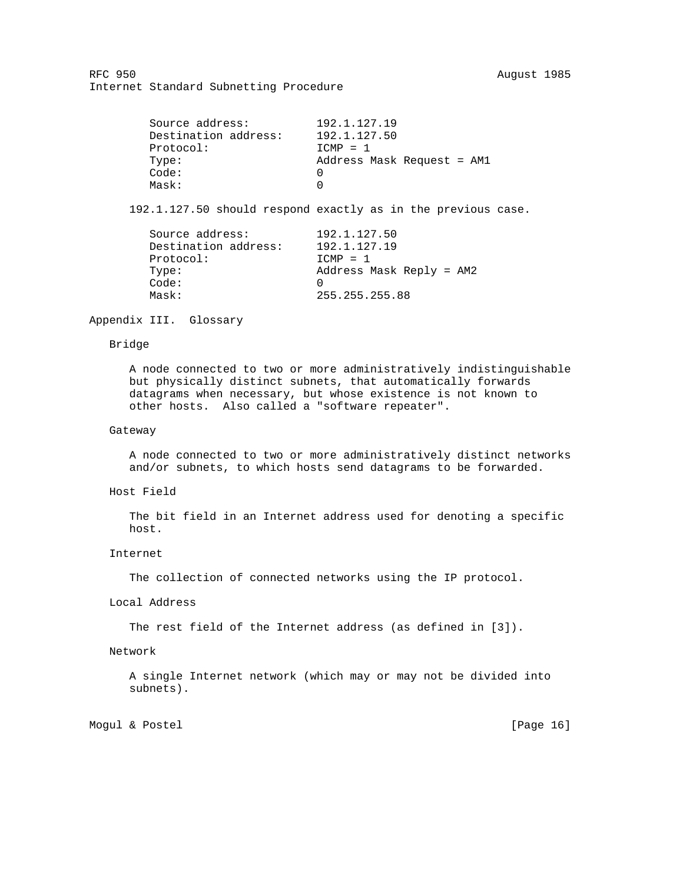| 192.1.127.19               |
|----------------------------|
| 192.1.127.50               |
| $TCMP = 1$                 |
| Address Mask Request = AM1 |
|                            |
|                            |
|                            |

192.1.127.50 should respond exactly as in the previous case.

| 192.1.127.50             |
|--------------------------|
| 192.1.127.19             |
| $TCMP = 1$               |
| Address Mask Reply = AM2 |
|                          |
| 255.255.255.88           |
|                          |

Appendix III. Glossary

# Bridge

 A node connected to two or more administratively indistinguishable but physically distinct subnets, that automatically forwards datagrams when necessary, but whose existence is not known to other hosts. Also called a "software repeater".

# Gateway

 A node connected to two or more administratively distinct networks and/or subnets, to which hosts send datagrams to be forwarded.

# Host Field

 The bit field in an Internet address used for denoting a specific host.

#### Internet

The collection of connected networks using the IP protocol.

# Local Address

The rest field of the Internet address (as defined in [3]).

# Network

 A single Internet network (which may or may not be divided into subnets).

Mogul & Postel [Page 16]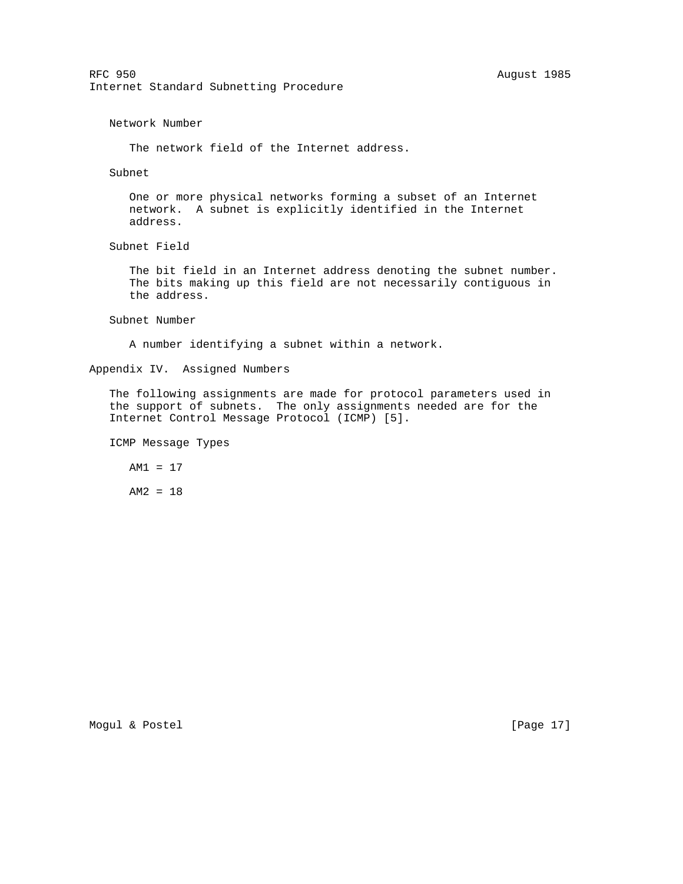Network Number

The network field of the Internet address.

Subnet

 One or more physical networks forming a subset of an Internet network. A subnet is explicitly identified in the Internet address.

Subnet Field

 The bit field in an Internet address denoting the subnet number. The bits making up this field are not necessarily contiguous in the address.

Subnet Number

A number identifying a subnet within a network.

Appendix IV. Assigned Numbers

 The following assignments are made for protocol parameters used in the support of subnets. The only assignments needed are for the Internet Control Message Protocol (ICMP) [5].

ICMP Message Types

AM1 = 17

AM2 = 18

Mogul & Postel [Page 17]